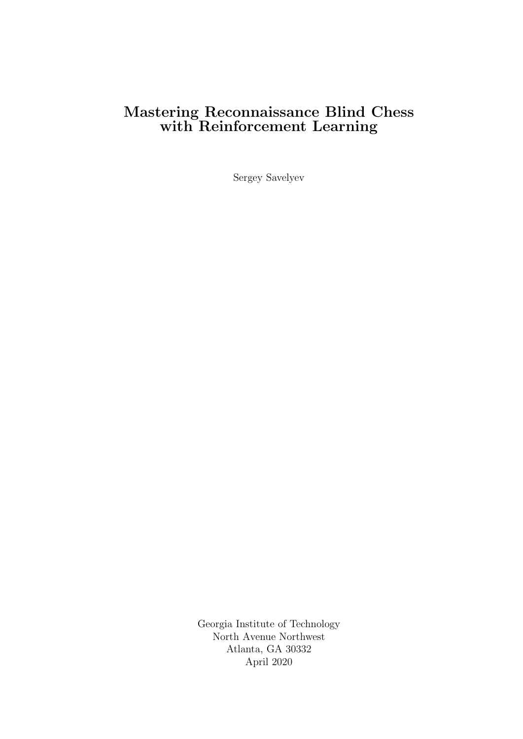### Mastering Reconnaissance Blind Chess with Reinforcement Learning

Sergey Savelyev

Georgia Institute of Technology North Avenue Northwest Atlanta, GA 30332 April 2020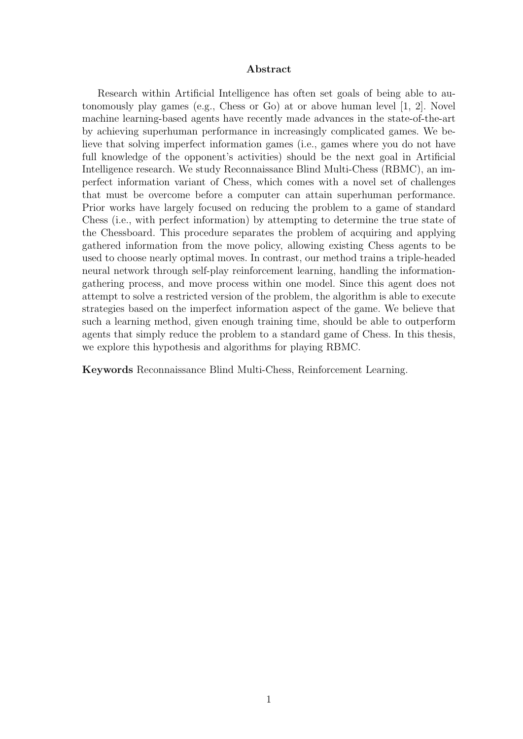#### Abstract

Research within Artificial Intelligence has often set goals of being able to autonomously play games (e.g., Chess or Go) at or above human level [1, 2]. Novel machine learning-based agents have recently made advances in the state-of-the-art by achieving superhuman performance in increasingly complicated games. We believe that solving imperfect information games (i.e., games where you do not have full knowledge of the opponent's activities) should be the next goal in Artificial Intelligence research. We study Reconnaissance Blind Multi-Chess (RBMC), an imperfect information variant of Chess, which comes with a novel set of challenges that must be overcome before a computer can attain superhuman performance. Prior works have largely focused on reducing the problem to a game of standard Chess (i.e., with perfect information) by attempting to determine the true state of the Chessboard. This procedure separates the problem of acquiring and applying gathered information from the move policy, allowing existing Chess agents to be used to choose nearly optimal moves. In contrast, our method trains a triple-headed neural network through self-play reinforcement learning, handling the informationgathering process, and move process within one model. Since this agent does not attempt to solve a restricted version of the problem, the algorithm is able to execute strategies based on the imperfect information aspect of the game. We believe that such a learning method, given enough training time, should be able to outperform agents that simply reduce the problem to a standard game of Chess. In this thesis, we explore this hypothesis and algorithms for playing RBMC.

Keywords Reconnaissance Blind Multi-Chess, Reinforcement Learning.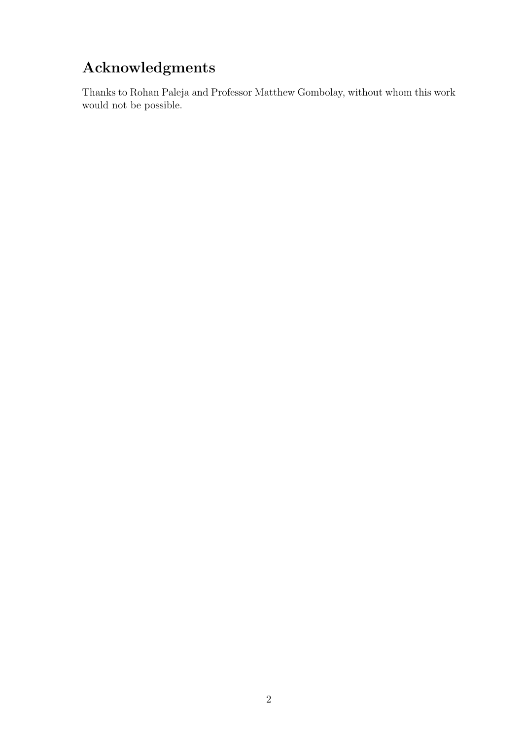# Acknowledgments

Thanks to Rohan Paleja and Professor Matthew Gombolay, without whom this work would not be possible.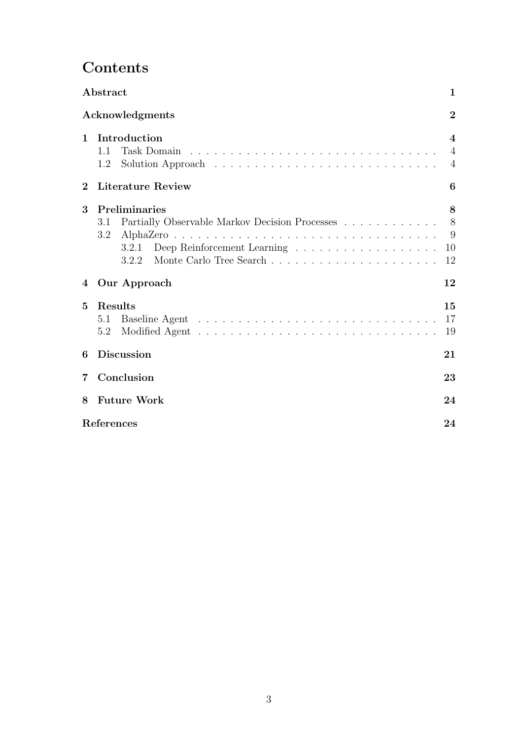# Contents

|                | Abstract                                                                               | 1                                                  |
|----------------|----------------------------------------------------------------------------------------|----------------------------------------------------|
|                | Acknowledgments                                                                        | $\overline{2}$                                     |
| $\mathbf{1}$   | Introduction<br>1.1<br>Task Domain<br>1.2                                              | $\overline{4}$<br>$\overline{4}$<br>$\overline{4}$ |
| $\overline{2}$ | Literature Review                                                                      | 6                                                  |
| 3              | Preliminaries<br>Partially Observable Markov Decision Processes<br>3.1<br>3.2<br>3.2.2 | 8<br>8<br>9<br>10<br>12                            |
| 4              | Our Approach                                                                           | 12                                                 |
| $\overline{5}$ | Results<br>5.1<br>5.2                                                                  | 15<br>17<br>19                                     |
| 6              | <b>Discussion</b>                                                                      | 21                                                 |
| 7              | Conclusion                                                                             | 23                                                 |
| 8              | <b>Future Work</b>                                                                     | 24                                                 |
|                | References                                                                             | 24                                                 |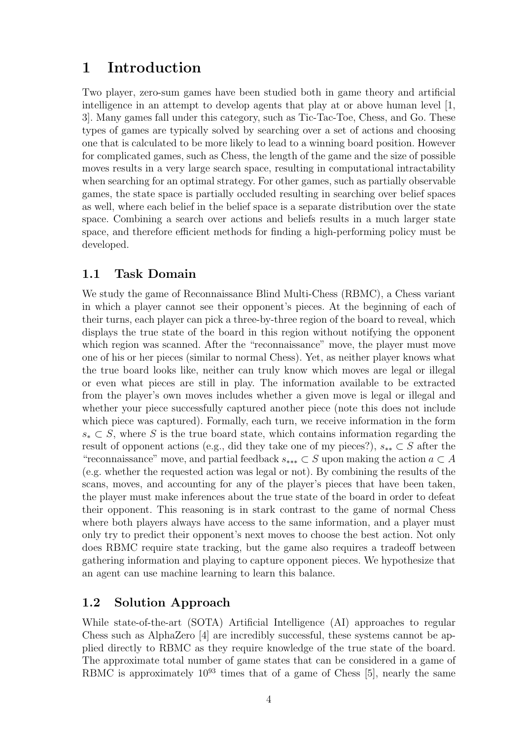# 1 Introduction

Two player, zero-sum games have been studied both in game theory and artificial intelligence in an attempt to develop agents that play at or above human level [1, 3]. Many games fall under this category, such as Tic-Tac-Toe, Chess, and Go. These types of games are typically solved by searching over a set of actions and choosing one that is calculated to be more likely to lead to a winning board position. However for complicated games, such as Chess, the length of the game and the size of possible moves results in a very large search space, resulting in computational intractability when searching for an optimal strategy. For other games, such as partially observable games, the state space is partially occluded resulting in searching over belief spaces as well, where each belief in the belief space is a separate distribution over the state space. Combining a search over actions and beliefs results in a much larger state space, and therefore efficient methods for finding a high-performing policy must be developed.

### 1.1 Task Domain

We study the game of Reconnaissance Blind Multi-Chess (RBMC), a Chess variant in which a player cannot see their opponent's pieces. At the beginning of each of their turns, each player can pick a three-by-three region of the board to reveal, which displays the true state of the board in this region without notifying the opponent which region was scanned. After the "reconnaissance" move, the player must move one of his or her pieces (similar to normal Chess). Yet, as neither player knows what the true board looks like, neither can truly know which moves are legal or illegal or even what pieces are still in play. The information available to be extracted from the player's own moves includes whether a given move is legal or illegal and whether your piece successfully captured another piece (note this does not include which piece was captured). Formally, each turn, we receive information in the form  $s_* \subset S$ , where S is the true board state, which contains information regarding the result of opponent actions (e.g., did they take one of my pieces?),  $s_{**} \subset S$  after the "reconnaissance" move, and partial feedback  $s_{**} \subset S$  upon making the action  $a \subset A$ (e.g. whether the requested action was legal or not). By combining the results of the scans, moves, and accounting for any of the player's pieces that have been taken, the player must make inferences about the true state of the board in order to defeat their opponent. This reasoning is in stark contrast to the game of normal Chess where both players always have access to the same information, and a player must only try to predict their opponent's next moves to choose the best action. Not only does RBMC require state tracking, but the game also requires a tradeoff between gathering information and playing to capture opponent pieces. We hypothesize that an agent can use machine learning to learn this balance.

### 1.2 Solution Approach

While state-of-the-art (SOTA) Artificial Intelligence (AI) approaches to regular Chess such as AlphaZero [4] are incredibly successful, these systems cannot be applied directly to RBMC as they require knowledge of the true state of the board. The approximate total number of game states that can be considered in a game of RBMC is approximately  $10^{93}$  times that of a game of Chess [5], nearly the same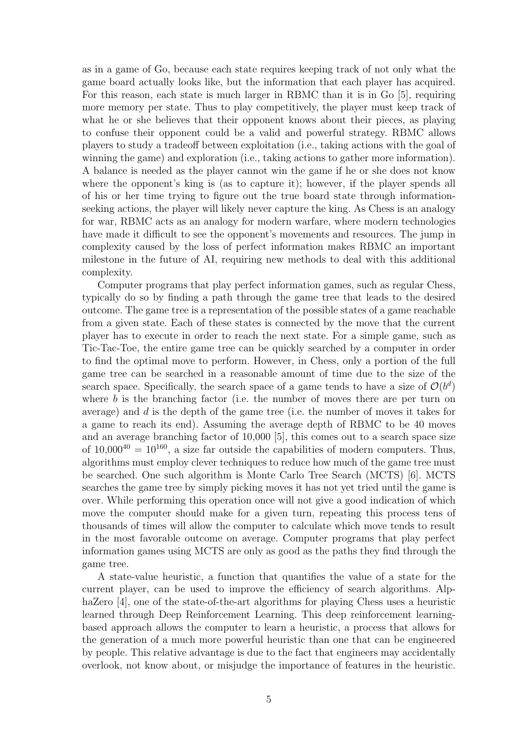as in a game of Go, because each state requires keeping track of not only what the game board actually looks like, but the information that each player has acquired. For this reason, each state is much larger in RBMC than it is in Go [5], requiring more memory per state. Thus to play competitively, the player must keep track of what he or she believes that their opponent knows about their pieces, as playing to confuse their opponent could be a valid and powerful strategy. RBMC allows players to study a tradeoff between exploitation (i.e., taking actions with the goal of winning the game) and exploration (i.e., taking actions to gather more information). A balance is needed as the player cannot win the game if he or she does not know where the opponent's king is (as to capture it); however, if the player spends all of his or her time trying to figure out the true board state through informationseeking actions, the player will likely never capture the king. As Chess is an analogy for war, RBMC acts as an analogy for modern warfare, where modern technologies have made it difficult to see the opponent's movements and resources. The jump in complexity caused by the loss of perfect information makes RBMC an important milestone in the future of AI, requiring new methods to deal with this additional complexity.

Computer programs that play perfect information games, such as regular Chess, typically do so by finding a path through the game tree that leads to the desired outcome. The game tree is a representation of the possible states of a game reachable from a given state. Each of these states is connected by the move that the current player has to execute in order to reach the next state. For a simple game, such as Tic-Tac-Toe, the entire game tree can be quickly searched by a computer in order to find the optimal move to perform. However, in Chess, only a portion of the full game tree can be searched in a reasonable amount of time due to the size of the search space. Specifically, the search space of a game tends to have a size of  $\mathcal{O}(b^d)$ where  $b$  is the branching factor (i.e. the number of moves there are per turn on average) and  $d$  is the depth of the game tree (i.e. the number of moves it takes for a game to reach its end). Assuming the average depth of RBMC to be 40 moves and an average branching factor of 10,000 [5], this comes out to a search space size of  $10,000^{40} = 10^{160}$ , a size far outside the capabilities of modern computers. Thus, algorithms must employ clever techniques to reduce how much of the game tree must be searched. One such algorithm is Monte Carlo Tree Search (MCTS) [6]. MCTS searches the game tree by simply picking moves it has not yet tried until the game is over. While performing this operation once will not give a good indication of which move the computer should make for a given turn, repeating this process tens of thousands of times will allow the computer to calculate which move tends to result in the most favorable outcome on average. Computer programs that play perfect information games using MCTS are only as good as the paths they find through the game tree.

A state-value heuristic, a function that quantifies the value of a state for the current player, can be used to improve the efficiency of search algorithms. AlphaZero [4], one of the state-of-the-art algorithms for playing Chess uses a heuristic learned through Deep Reinforcement Learning. This deep reinforcement learningbased approach allows the computer to learn a heuristic, a process that allows for the generation of a much more powerful heuristic than one that can be engineered by people. This relative advantage is due to the fact that engineers may accidentally overlook, not know about, or misjudge the importance of features in the heuristic.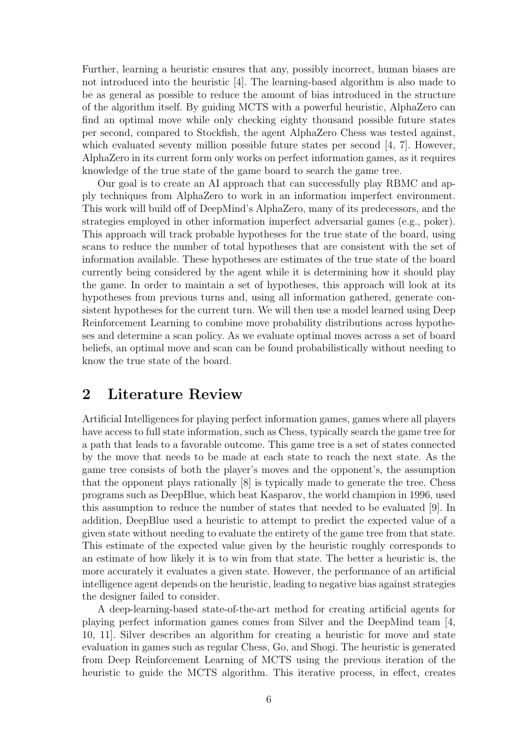Further, learning a heuristic ensures that any, possibly incorrect, human biases are not introduced into the heuristic [4]. The learning-based algorithm is also made to be as general as possible to reduce the amount of bias introduced in the structure of the algorithm itself. By guiding MCTS with a powerful heuristic, AlphaZero can find an optimal move while only checking eighty thousand possible future states per second, compared to Stockfish, the agent AlphaZero Chess was tested against, which evaluated seventy million possible future states per second  $[4, 7]$ . However, AlphaZero in its current form only works on perfect information games, as it requires knowledge of the true state of the game board to search the game tree.

Our goal is to create an AI approach that can successfully play RBMC and apply techniques from AlphaZero to work in an information imperfect environment. This work will build off of DeepMind's AlphaZero, many of its predecessors, and the strategies employed in other information imperfect adversarial games (e.g., poker). This approach will track probable hypotheses for the true state of the board, using scans to reduce the number of total hypotheses that are consistent with the set of information available. These hypotheses are estimates of the true state of the board currently being considered by the agent while it is determining how it should play the game. In order to maintain a set of hypotheses, this approach will look at its hypotheses from previous turns and, using all information gathered, generate consistent hypotheses for the current turn. We will then use a model learned using Deep Reinforcement Learning to combine move probability distributions across hypotheses and determine a scan policy. As we evaluate optimal moves across a set of board beliefs, an optimal move and scan can be found probabilistically without needing to know the true state of the board.

### 2 Literature Review

Artificial Intelligences for playing perfect information games, games where all players have access to full state information, such as Chess, typically search the game tree for a path that leads to a favorable outcome. This game tree is a set of states connected by the move that needs to be made at each state to reach the next state. As the game tree consists of both the player's moves and the opponent's, the assumption that the opponent plays rationally [8] is typically made to generate the tree. Chess programs such as DeepBlue, which beat Kasparov, the world champion in 1996, used this assumption to reduce the number of states that needed to be evaluated [9]. In addition, DeepBlue used a heuristic to attempt to predict the expected value of a given state without needing to evaluate the entirety of the game tree from that state. This estimate of the expected value given by the heuristic roughly corresponds to an estimate of how likely it is to win from that state. The better a heuristic is, the more accurately it evaluates a given state. However, the performance of an artificial intelligence agent depends on the heuristic, leading to negative bias against strategies the designer failed to consider.

A deep-learning-based state-of-the-art method for creating artificial agents for playing perfect information games comes from Silver and the DeepMind team [4, 10, 11]. Silver describes an algorithm for creating a heuristic for move and state evaluation in games such as regular Chess, Go, and Shogi. The heuristic is generated from Deep Reinforcement Learning of MCTS using the previous iteration of the heuristic to guide the MCTS algorithm. This iterative process, in effect, creates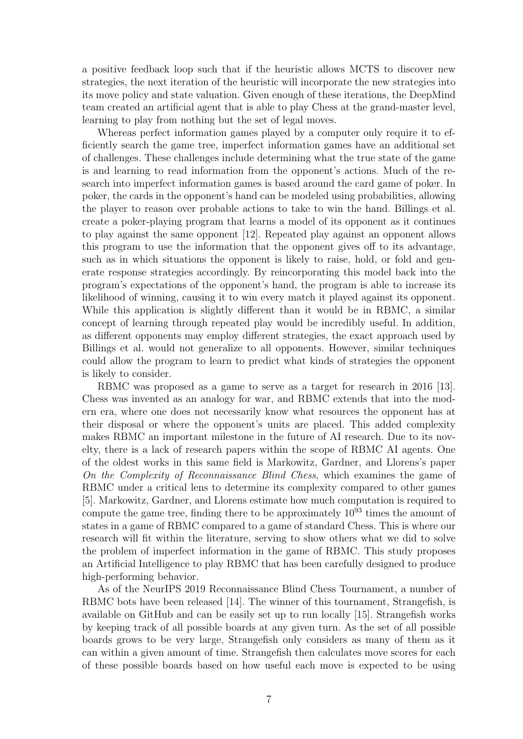a positive feedback loop such that if the heuristic allows MCTS to discover new strategies, the next iteration of the heuristic will incorporate the new strategies into its move policy and state valuation. Given enough of these iterations, the DeepMind team created an artificial agent that is able to play Chess at the grand-master level, learning to play from nothing but the set of legal moves.

Whereas perfect information games played by a computer only require it to efficiently search the game tree, imperfect information games have an additional set of challenges. These challenges include determining what the true state of the game is and learning to read information from the opponent's actions. Much of the research into imperfect information games is based around the card game of poker. In poker, the cards in the opponent's hand can be modeled using probabilities, allowing the player to reason over probable actions to take to win the hand. Billings et al. create a poker-playing program that learns a model of its opponent as it continues to play against the same opponent [12]. Repeated play against an opponent allows this program to use the information that the opponent gives off to its advantage, such as in which situations the opponent is likely to raise, hold, or fold and generate response strategies accordingly. By reincorporating this model back into the program's expectations of the opponent's hand, the program is able to increase its likelihood of winning, causing it to win every match it played against its opponent. While this application is slightly different than it would be in RBMC, a similar concept of learning through repeated play would be incredibly useful. In addition, as different opponents may employ different strategies, the exact approach used by Billings et al. would not generalize to all opponents. However, similar techniques could allow the program to learn to predict what kinds of strategies the opponent is likely to consider.

RBMC was proposed as a game to serve as a target for research in 2016 [13]. Chess was invented as an analogy for war, and RBMC extends that into the modern era, where one does not necessarily know what resources the opponent has at their disposal or where the opponent's units are placed. This added complexity makes RBMC an important milestone in the future of AI research. Due to its novelty, there is a lack of research papers within the scope of RBMC AI agents. One of the oldest works in this same field is Markowitz, Gardner, and Llorens's paper On the Complexity of Reconnaissance Blind Chess, which examines the game of RBMC under a critical lens to determine its complexity compared to other games [5]. Markowitz, Gardner, and Llorens estimate how much computation is required to compute the game tree, finding there to be approximately  $10^{93}$  times the amount of states in a game of RBMC compared to a game of standard Chess. This is where our research will fit within the literature, serving to show others what we did to solve the problem of imperfect information in the game of RBMC. This study proposes an Artificial Intelligence to play RBMC that has been carefully designed to produce high-performing behavior.

As of the NeurIPS 2019 Reconnaissance Blind Chess Tournament, a number of RBMC bots have been released [14]. The winner of this tournament, Strangefish, is available on GitHub and can be easily set up to run locally [15]. Strangefish works by keeping track of all possible boards at any given turn. As the set of all possible boards grows to be very large, Strangefish only considers as many of them as it can within a given amount of time. Strangefish then calculates move scores for each of these possible boards based on how useful each move is expected to be using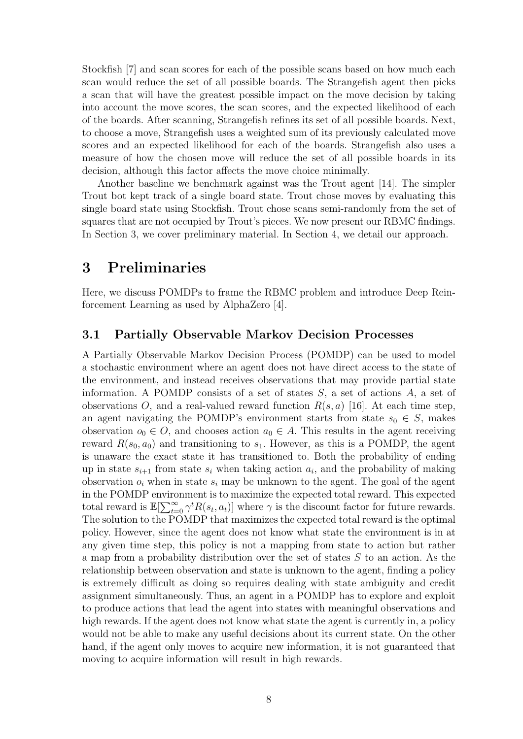Stockfish [7] and scan scores for each of the possible scans based on how much each scan would reduce the set of all possible boards. The Strangefish agent then picks a scan that will have the greatest possible impact on the move decision by taking into account the move scores, the scan scores, and the expected likelihood of each of the boards. After scanning, Strangefish refines its set of all possible boards. Next, to choose a move, Strangefish uses a weighted sum of its previously calculated move scores and an expected likelihood for each of the boards. Strangefish also uses a measure of how the chosen move will reduce the set of all possible boards in its decision, although this factor affects the move choice minimally.

Another baseline we benchmark against was the Trout agent [14]. The simpler Trout bot kept track of a single board state. Trout chose moves by evaluating this single board state using Stockfish. Trout chose scans semi-randomly from the set of squares that are not occupied by Trout's pieces. We now present our RBMC findings. In Section 3, we cover preliminary material. In Section 4, we detail our approach.

## 3 Preliminaries

Here, we discuss POMDPs to frame the RBMC problem and introduce Deep Reinforcement Learning as used by AlphaZero [4].

### 3.1 Partially Observable Markov Decision Processes

A Partially Observable Markov Decision Process (POMDP) can be used to model a stochastic environment where an agent does not have direct access to the state of the environment, and instead receives observations that may provide partial state information. A POMDP consists of a set of states  $S$ , a set of actions  $A$ , a set of observations O, and a real-valued reward function  $R(s, a)$  [16]. At each time step, an agent navigating the POMDP's environment starts from state  $s_0 \in S$ , makes observation  $o_0 \in O$ , and chooses action  $a_0 \in A$ . This results in the agent receiving reward  $R(s_0, a_0)$  and transitioning to  $s_1$ . However, as this is a POMDP, the agent is unaware the exact state it has transitioned to. Both the probability of ending up in state  $s_{i+1}$  from state  $s_i$  when taking action  $a_i$ , and the probability of making observation  $o_i$  when in state  $s_i$  may be unknown to the agent. The goal of the agent in the POMDP environment is to maximize the expected total reward. This expected total reward is  $\mathbb{E}[\sum_{t=0}^{\infty} \gamma^t R(s_t, a_t)]$  where  $\gamma$  is the discount factor for future rewards. The solution to the POMDP that maximizes the expected total reward is the optimal policy. However, since the agent does not know what state the environment is in at any given time step, this policy is not a mapping from state to action but rather a map from a probability distribution over the set of states S to an action. As the relationship between observation and state is unknown to the agent, finding a policy is extremely difficult as doing so requires dealing with state ambiguity and credit assignment simultaneously. Thus, an agent in a POMDP has to explore and exploit to produce actions that lead the agent into states with meaningful observations and high rewards. If the agent does not know what state the agent is currently in, a policy would not be able to make any useful decisions about its current state. On the other hand, if the agent only moves to acquire new information, it is not guaranteed that moving to acquire information will result in high rewards.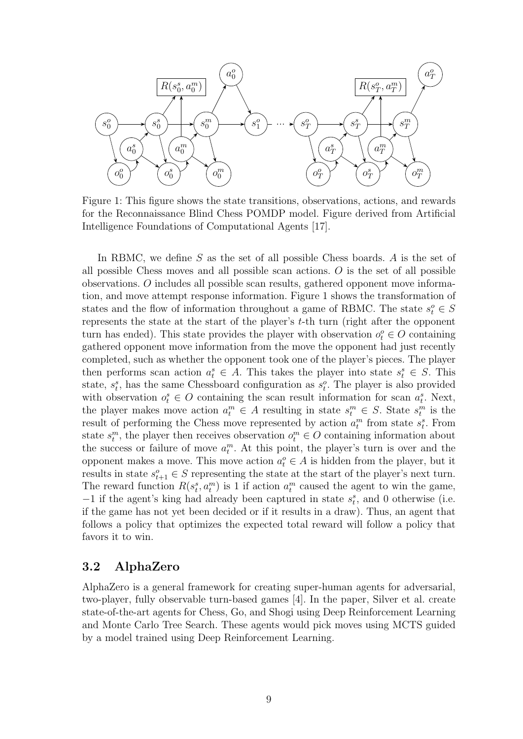

Figure 1: This figure shows the state transitions, observations, actions, and rewards for the Reconnaissance Blind Chess POMDP model. Figure derived from Artificial Intelligence Foundations of Computational Agents [17].

In RBMC, we define  $S$  as the set of all possible Chess boards.  $A$  is the set of all possible Chess moves and all possible scan actions.  $\hat{O}$  is the set of all possible observations. O includes all possible scan results, gathered opponent move information, and move attempt response information. Figure 1 shows the transformation of states and the flow of information throughout a game of RBMC. The state  $s_t^o \in S$ represents the state at the start of the player's t-th turn (right after the opponent turn has ended). This state provides the player with observation  $o_t^o \in O$  containing gathered opponent move information from the move the opponent had just recently completed, such as whether the opponent took one of the player's pieces. The player then performs scan action  $a_t^s \in A$ . This takes the player into state  $s_t^s \in S$ . This state,  $s_t^s$ , has the same Chessboard configuration as  $s_t^o$ . The player is also provided with observation  $o_t^s \in O$  containing the scan result information for scan  $a_t^s$ . Next, the player makes move action  $a_t^m \in A$  resulting in state  $s_t^m \in S$ . State  $s_t^m$  is the result of performing the Chess move represented by action  $a_t^m$  from state  $s_t^s$ . From state  $s_t^m$ , the player then receives observation  $o_t^m \in O$  containing information about the success or failure of move  $a_t^m$ . At this point, the player's turn is over and the opponent makes a move. This move action  $a_t^o \in A$  is hidden from the player, but it results in state  $s_{t+1}^o \in S$  representing the state at the start of the player's next turn. The reward function  $R(s_t^s, a_t^m)$  is 1 if action  $a_t^m$  caused the agent to win the game,  $-1$  if the agent's king had already been captured in state  $s_t^s$ , and 0 otherwise (i.e. if the game has not yet been decided or if it results in a draw). Thus, an agent that follows a policy that optimizes the expected total reward will follow a policy that favors it to win.

### 3.2 AlphaZero

AlphaZero is a general framework for creating super-human agents for adversarial, two-player, fully observable turn-based games [4]. In the paper, Silver et al. create state-of-the-art agents for Chess, Go, and Shogi using Deep Reinforcement Learning and Monte Carlo Tree Search. These agents would pick moves using MCTS guided by a model trained using Deep Reinforcement Learning.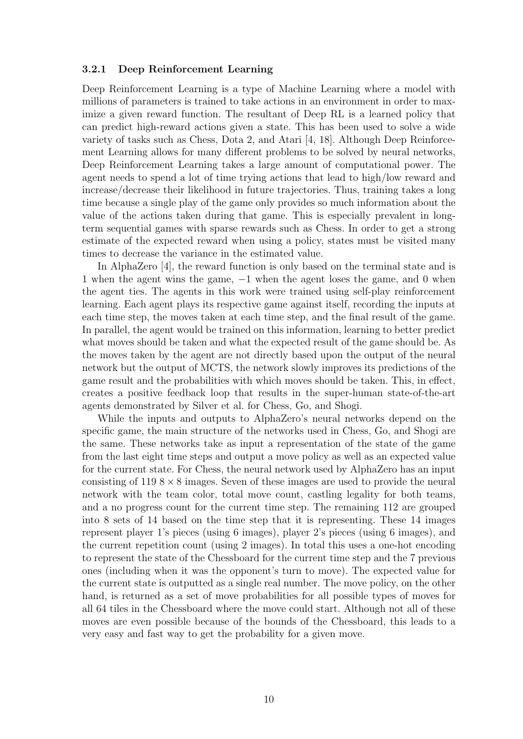#### 3.2.1 Deep Reinforcement Learning

Deep Reinforcement Learning is a type of Machine Learning where a model with millions of parameters is trained to take actions in an environment in order to maximize a given reward function. The resultant of Deep RL is a learned policy that can predict high-reward actions given a state. This has been used to solve a wide variety of tasks such as Chess, Dota 2, and Atari [4, 18]. Although Deep Reinforcement Learning allows for many different problems to be solved by neural networks, Deep Reinforcement Learning takes a large amount of computational power. The agent needs to spend a lot of time trying actions that lead to high/low reward and increase/decrease their likelihood in future trajectories. Thus, training takes a long time because a single play of the game only provides so much information about the value of the actions taken during that game. This is especially prevalent in longterm sequential games with sparse rewards such as Chess. In order to get a strong estimate of the expected reward when using a policy, states must be visited many times to decrease the variance in the estimated value.

In AlphaZero [4], the reward function is only based on the terminal state and is 1 when the agent wins the game, −1 when the agent loses the game, and 0 when the agent ties. The agents in this work were trained using self-play reinforcement learning. Each agent plays its respective game against itself, recording the inputs at each time step, the moves taken at each time step, and the final result of the game. In parallel, the agent would be trained on this information, learning to better predict what moves should be taken and what the expected result of the game should be. As the moves taken by the agent are not directly based upon the output of the neural network but the output of MCTS, the network slowly improves its predictions of the game result and the probabilities with which moves should be taken. This, in effect, creates a positive feedback loop that results in the super-human state-of-the-art agents demonstrated by Silver et al. for Chess, Go, and Shogi.

While the inputs and outputs to AlphaZero's neural networks depend on the specific game, the main structure of the networks used in Chess, Go, and Shogi are the same. These networks take as input a representation of the state of the game from the last eight time steps and output a move policy as well as an expected value for the current state. For Chess, the neural network used by AlphaZero has an input consisting of 119  $8 \times 8$  images. Seven of these images are used to provide the neural network with the team color, total move count, castling legality for both teams, and a no progress count for the current time step. The remaining 112 are grouped into 8 sets of 14 based on the time step that it is representing. These 14 images represent player 1's pieces (using 6 images), player 2's pieces (using 6 images), and the current repetition count (using 2 images). In total this uses a one-hot encoding to represent the state of the Chessboard for the current time step and the 7 previous ones (including when it was the opponent's turn to move). The expected value for the current state is outputted as a single real number. The move policy, on the other hand, is returned as a set of move probabilities for all possible types of moves for all 64 tiles in the Chessboard where the move could start. Although not all of these moves are even possible because of the bounds of the Chessboard, this leads to a very easy and fast way to get the probability for a given move.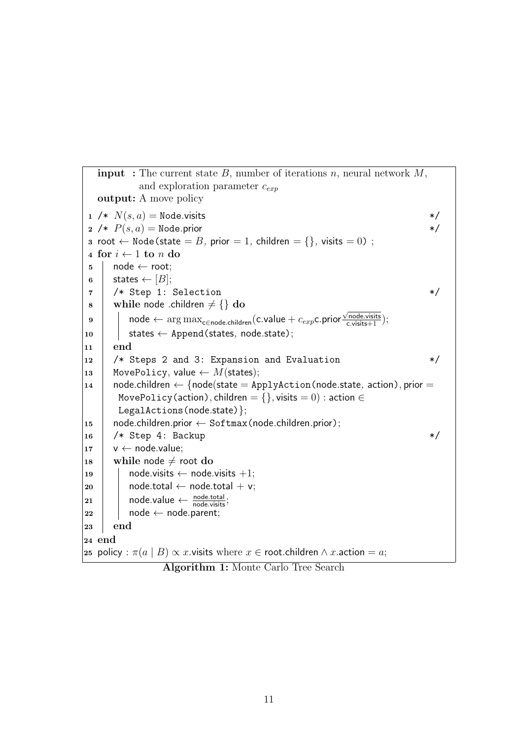```
input: The current state B, number of iterations n, neural network M,
             and exploration parameter c_{exp}output: A move policy
1 /* N(s, a) =Node.visits */
2 /* P(s, a) = \text{Node prior} */
3 root ← Node(state = B, prior = 1, children = {}, visits = 0) ;
4 for i \leftarrow 1 to n do
5 \mid node \leftarrow root;6 states \leftarrow [B];
7 /* Step 1: Selection */
8 while node .children \neq \{\} do
 \mathsf{p} \quad | \quad \mathsf{node} \leftarrow \arg\max_{\mathsf{c} \in \mathsf{node}.\mathsf{children}}(\mathsf{c}.\mathsf{value} + c_{exp}\mathsf{c}.\mathsf{prior})\frac{\sqrt{\text{node}.\text{visits}}}{\text{c}.\text{visits}+1};10 states \leftarrow Append(states, node.state);
11 end
12 /* Steps 2 and 3: Expansion and Evaluation */
13 MovePolicy, value \leftarrow M(states);
14 \parallel node.children \leftarrow {node(state = ApplyAction(node.state, action), prior =
        MovePolicy(action), children = \{\}, visits = 0) : action \inLegalActions(node.state) };
15 \vert node.children.prior \leftarrow Softmax(node.children.prior);
16 /* Step 4: Backup \star/
17 \quad v \leftarrow node.value;
18 while node \neq root do
19 \vert node.visits \leftarrow node.visits +1;
20 | node.total \leftarrow node.total + v;
\begin{array}{|l|l|} \hline \text{21} & \text{node}.\text{value} \leftarrow \frac{\text{node}.\text{total}}{\text{node}.\text{visits}}; \hline \end{array}22 | node ← node.parent;
23 end
24 end
25 policy : \pi(a \mid B) \propto x.visits where x \in root.children \wedge x.action = a;
```
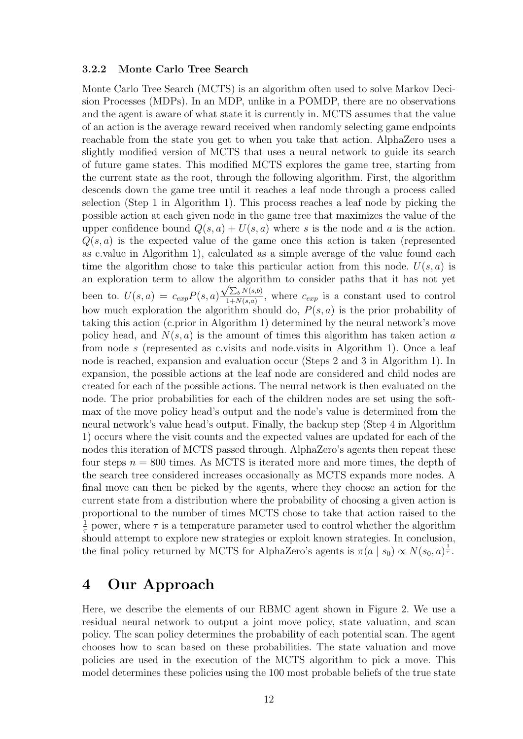#### 3.2.2 Monte Carlo Tree Search

Monte Carlo Tree Search (MCTS) is an algorithm often used to solve Markov Decision Processes (MDPs). In an MDP, unlike in a POMDP, there are no observations and the agent is aware of what state it is currently in. MCTS assumes that the value of an action is the average reward received when randomly selecting game endpoints reachable from the state you get to when you take that action. AlphaZero uses a slightly modified version of MCTS that uses a neural network to guide its search of future game states. This modified MCTS explores the game tree, starting from the current state as the root, through the following algorithm. First, the algorithm descends down the game tree until it reaches a leaf node through a process called selection (Step 1 in Algorithm 1). This process reaches a leaf node by picking the possible action at each given node in the game tree that maximizes the value of the upper confidence bound  $Q(s, a) + U(s, a)$  where s is the node and a is the action.  $Q(s, a)$  is the expected value of the game once this action is taken (represented as c.value in Algorithm 1), calculated as a simple average of the value found each time the algorithm chose to take this particular action from this node.  $U(s, a)$  is an exploration term to allow the algorithm to consider paths that it has not yet been to.  $U(s, a) = c_{exp} P(s, a)$  $\sqrt{\sum_b N(s,b)}$  $\frac{\sum_{b} N(s,b)}{1+N(s,a)}$ , where  $c_{exp}$  is a constant used to control how much exploration the algorithm should do,  $P(s, a)$  is the prior probability of taking this action (c.prior in Algorithm 1) determined by the neural network's move policy head, and  $N(s, a)$  is the amount of times this algorithm has taken action a from node s (represented as c.visits and node.visits in Algorithm 1). Once a leaf node is reached, expansion and evaluation occur (Steps 2 and 3 in Algorithm 1). In expansion, the possible actions at the leaf node are considered and child nodes are created for each of the possible actions. The neural network is then evaluated on the node. The prior probabilities for each of the children nodes are set using the softmax of the move policy head's output and the node's value is determined from the neural network's value head's output. Finally, the backup step (Step 4 in Algorithm 1) occurs where the visit counts and the expected values are updated for each of the nodes this iteration of MCTS passed through. AlphaZero's agents then repeat these four steps  $n = 800$  times. As MCTS is iterated more and more times, the depth of the search tree considered increases occasionally as MCTS expands more nodes. A final move can then be picked by the agents, where they choose an action for the current state from a distribution where the probability of choosing a given action is proportional to the number of times MCTS chose to take that action raised to the 1  $\frac{1}{\tau}$  power, where  $\tau$  is a temperature parameter used to control whether the algorithm should attempt to explore new strategies or exploit known strategies. In conclusion, the final policy returned by MCTS for AlphaZero's agents is  $\pi(\overline{a} \mid s_0) \propto N(s_0, a)^{\frac{1}{\tau}}$ .

### 4 Our Approach

Here, we describe the elements of our RBMC agent shown in Figure 2. We use a residual neural network to output a joint move policy, state valuation, and scan policy. The scan policy determines the probability of each potential scan. The agent chooses how to scan based on these probabilities. The state valuation and move policies are used in the execution of the MCTS algorithm to pick a move. This model determines these policies using the 100 most probable beliefs of the true state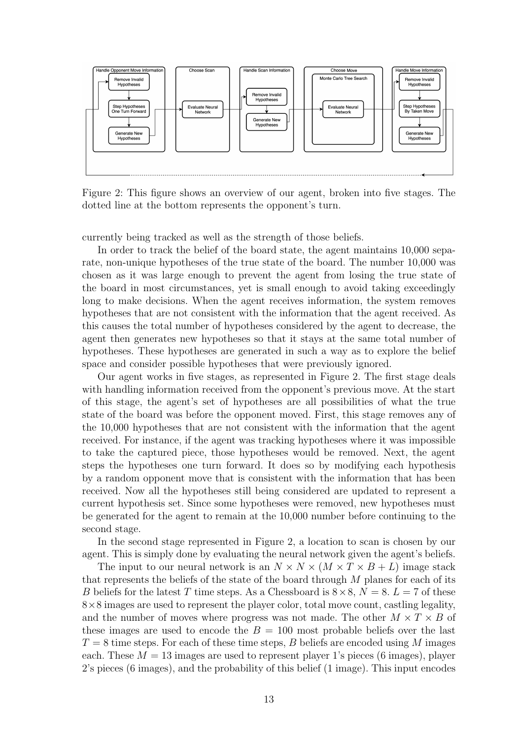

Figure 2: This figure shows an overview of our agent, broken into five stages. The dotted line at the bottom represents the opponent's turn.

currently being tracked as well as the strength of those beliefs.

In order to track the belief of the board state, the agent maintains 10,000 separate, non-unique hypotheses of the true state of the board. The number 10,000 was chosen as it was large enough to prevent the agent from losing the true state of the board in most circumstances, yet is small enough to avoid taking exceedingly long to make decisions. When the agent receives information, the system removes hypotheses that are not consistent with the information that the agent received. As this causes the total number of hypotheses considered by the agent to decrease, the agent then generates new hypotheses so that it stays at the same total number of hypotheses. These hypotheses are generated in such a way as to explore the belief space and consider possible hypotheses that were previously ignored.

Our agent works in five stages, as represented in Figure 2. The first stage deals with handling information received from the opponent's previous move. At the start of this stage, the agent's set of hypotheses are all possibilities of what the true state of the board was before the opponent moved. First, this stage removes any of the 10,000 hypotheses that are not consistent with the information that the agent received. For instance, if the agent was tracking hypotheses where it was impossible to take the captured piece, those hypotheses would be removed. Next, the agent steps the hypotheses one turn forward. It does so by modifying each hypothesis by a random opponent move that is consistent with the information that has been received. Now all the hypotheses still being considered are updated to represent a current hypothesis set. Since some hypotheses were removed, new hypotheses must be generated for the agent to remain at the 10,000 number before continuing to the second stage.

In the second stage represented in Figure 2, a location to scan is chosen by our agent. This is simply done by evaluating the neural network given the agent's beliefs.

The input to our neural network is an  $N \times N \times (M \times T \times B + L)$  image stack that represents the beliefs of the state of the board through  $M$  planes for each of its B beliefs for the latest T time steps. As a Chessboard is  $8 \times 8$ ,  $N = 8$ .  $L = 7$  of these 8×8 images are used to represent the player color, total move count, castling legality, and the number of moves where progress was not made. The other  $M \times T \times B$  of these images are used to encode the  $B = 100$  most probable beliefs over the last  $T = 8$  time steps. For each of these time steps, B beliefs are encoded using M images each. These  $M = 13$  images are used to represent player 1's pieces (6 images), player 2's pieces (6 images), and the probability of this belief (1 image). This input encodes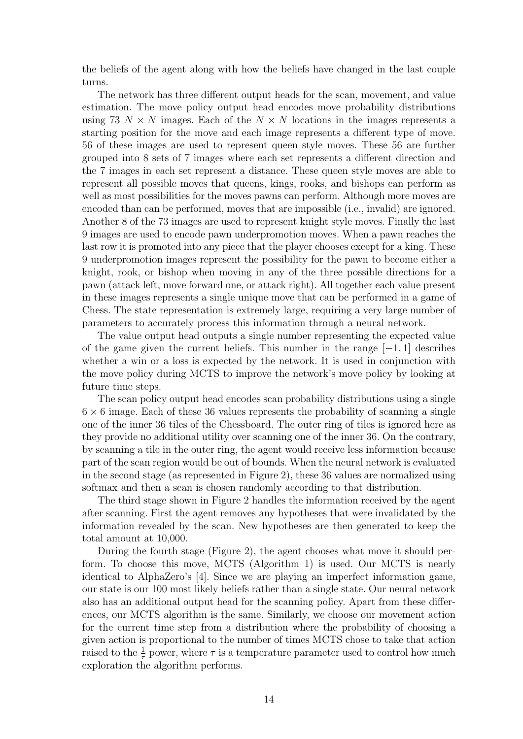the beliefs of the agent along with how the beliefs have changed in the last couple turns.

The network has three different output heads for the scan, movement, and value estimation. The move policy output head encodes move probability distributions using 73  $N \times N$  images. Each of the  $N \times N$  locations in the images represents a starting position for the move and each image represents a different type of move. 56 of these images are used to represent queen style moves. These 56 are further grouped into 8 sets of 7 images where each set represents a different direction and the 7 images in each set represent a distance. These queen style moves are able to represent all possible moves that queens, kings, rooks, and bishops can perform as well as most possibilities for the moves pawns can perform. Although more moves are encoded than can be performed, moves that are impossible (i.e., invalid) are ignored. Another 8 of the 73 images are used to represent knight style moves. Finally the last 9 images are used to encode pawn underpromotion moves. When a pawn reaches the last row it is promoted into any piece that the player chooses except for a king. These 9 underpromotion images represent the possibility for the pawn to become either a knight, rook, or bishop when moving in any of the three possible directions for a pawn (attack left, move forward one, or attack right). All together each value present in these images represents a single unique move that can be performed in a game of Chess. The state representation is extremely large, requiring a very large number of parameters to accurately process this information through a neural network.

The value output head outputs a single number representing the expected value of the game given the current beliefs. This number in the range  $[-1, 1]$  describes whether a win or a loss is expected by the network. It is used in conjunction with the move policy during MCTS to improve the network's move policy by looking at future time steps.

The scan policy output head encodes scan probability distributions using a single  $6 \times 6$  image. Each of these 36 values represents the probability of scanning a single one of the inner 36 tiles of the Chessboard. The outer ring of tiles is ignored here as they provide no additional utility over scanning one of the inner 36. On the contrary, by scanning a tile in the outer ring, the agent would receive less information because part of the scan region would be out of bounds. When the neural network is evaluated in the second stage (as represented in Figure 2), these 36 values are normalized using softmax and then a scan is chosen randomly according to that distribution.

The third stage shown in Figure 2 handles the information received by the agent after scanning. First the agent removes any hypotheses that were invalidated by the information revealed by the scan. New hypotheses are then generated to keep the total amount at 10,000.

During the fourth stage (Figure 2), the agent chooses what move it should perform. To choose this move, MCTS (Algorithm 1) is used. Our MCTS is nearly identical to AlphaZero's [4]. Since we are playing an imperfect information game, our state is our 100 most likely beliefs rather than a single state. Our neural network also has an additional output head for the scanning policy. Apart from these differences, our MCTS algorithm is the same. Similarly, we choose our movement action for the current time step from a distribution where the probability of choosing a given action is proportional to the number of times MCTS chose to take that action raised to the  $\frac{1}{\tau}$  power, where  $\tau$  is a temperature parameter used to control how much exploration the algorithm performs.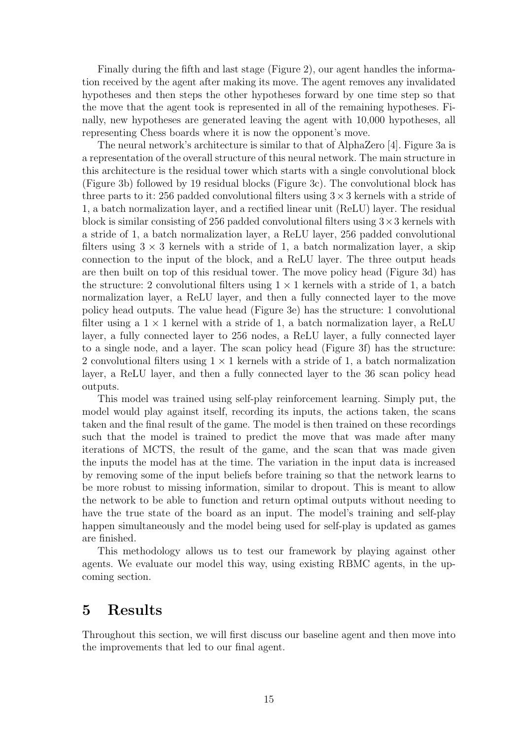Finally during the fifth and last stage (Figure 2), our agent handles the information received by the agent after making its move. The agent removes any invalidated hypotheses and then steps the other hypotheses forward by one time step so that the move that the agent took is represented in all of the remaining hypotheses. Finally, new hypotheses are generated leaving the agent with 10,000 hypotheses, all representing Chess boards where it is now the opponent's move.

The neural network's architecture is similar to that of AlphaZero [4]. Figure 3a is a representation of the overall structure of this neural network. The main structure in this architecture is the residual tower which starts with a single convolutional block (Figure 3b) followed by 19 residual blocks (Figure 3c). The convolutional block has three parts to it: 256 padded convolutional filters using  $3 \times 3$  kernels with a stride of 1, a batch normalization layer, and a rectified linear unit (ReLU) layer. The residual block is similar consisting of 256 padded convolutional filters using  $3 \times 3$  kernels with a stride of 1, a batch normalization layer, a ReLU layer, 256 padded convolutional filters using  $3 \times 3$  kernels with a stride of 1, a batch normalization layer, a skip connection to the input of the block, and a ReLU layer. The three output heads are then built on top of this residual tower. The move policy head (Figure 3d) has the structure: 2 convolutional filters using  $1 \times 1$  kernels with a stride of 1, a batch normalization layer, a ReLU layer, and then a fully connected layer to the move policy head outputs. The value head (Figure 3e) has the structure: 1 convolutional filter using a  $1 \times 1$  kernel with a stride of 1, a batch normalization layer, a ReLU layer, a fully connected layer to 256 nodes, a ReLU layer, a fully connected layer to a single node, and a layer. The scan policy head (Figure 3f) has the structure: 2 convolutional filters using  $1 \times 1$  kernels with a stride of 1, a batch normalization layer, a ReLU layer, and then a fully connected layer to the 36 scan policy head outputs.

This model was trained using self-play reinforcement learning. Simply put, the model would play against itself, recording its inputs, the actions taken, the scans taken and the final result of the game. The model is then trained on these recordings such that the model is trained to predict the move that was made after many iterations of MCTS, the result of the game, and the scan that was made given the inputs the model has at the time. The variation in the input data is increased by removing some of the input beliefs before training so that the network learns to be more robust to missing information, similar to dropout. This is meant to allow the network to be able to function and return optimal outputs without needing to have the true state of the board as an input. The model's training and self-play happen simultaneously and the model being used for self-play is updated as games are finished.

This methodology allows us to test our framework by playing against other agents. We evaluate our model this way, using existing RBMC agents, in the upcoming section.

### 5 Results

Throughout this section, we will first discuss our baseline agent and then move into the improvements that led to our final agent.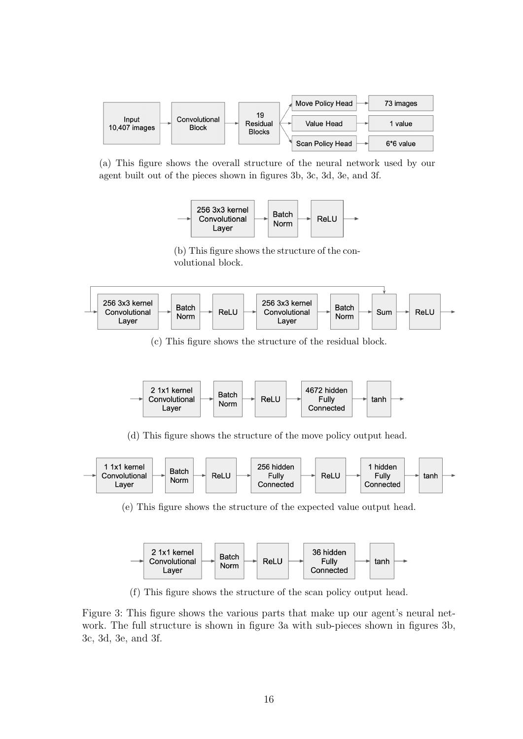

(a) This figure shows the overall structure of the neural network used by our agent built out of the pieces shown in figures 3b, 3c, 3d, 3e, and 3f.



(b) This figure shows the structure of the convolutional block.



(c) This figure shows the structure of the residual block.



(d) This figure shows the structure of the move policy output head.



(e) This figure shows the structure of the expected value output head.



(f) This figure shows the structure of the scan policy output head.

Figure 3: This figure shows the various parts that make up our agent's neural network. The full structure is shown in figure 3a with sub-pieces shown in figures 3b, 3c, 3d, 3e, and 3f.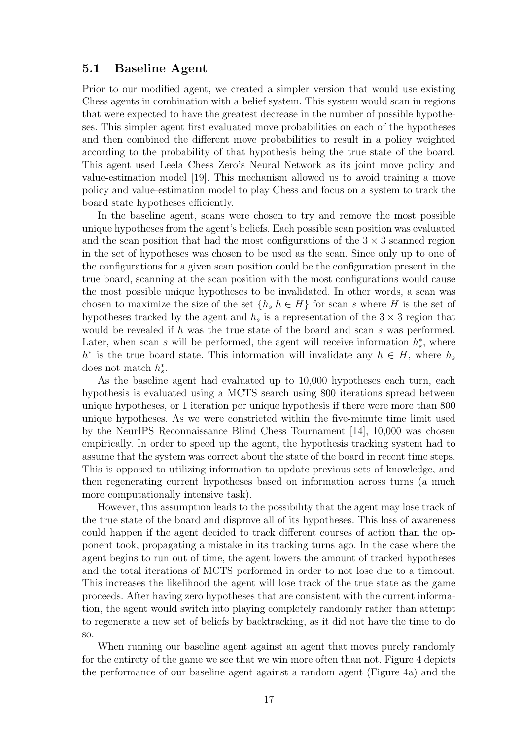### 5.1 Baseline Agent

Prior to our modified agent, we created a simpler version that would use existing Chess agents in combination with a belief system. This system would scan in regions that were expected to have the greatest decrease in the number of possible hypotheses. This simpler agent first evaluated move probabilities on each of the hypotheses and then combined the different move probabilities to result in a policy weighted according to the probability of that hypothesis being the true state of the board. This agent used Leela Chess Zero's Neural Network as its joint move policy and value-estimation model [19]. This mechanism allowed us to avoid training a move policy and value-estimation model to play Chess and focus on a system to track the board state hypotheses efficiently.

In the baseline agent, scans were chosen to try and remove the most possible unique hypotheses from the agent's beliefs. Each possible scan position was evaluated and the scan position that had the most configurations of the  $3 \times 3$  scanned region in the set of hypotheses was chosen to be used as the scan. Since only up to one of the configurations for a given scan position could be the configuration present in the true board, scanning at the scan position with the most configurations would cause the most possible unique hypotheses to be invalidated. In other words, a scan was chosen to maximize the size of the set  $\{h_s | h \in H\}$  for scan s where H is the set of hypotheses tracked by the agent and  $h_s$  is a representation of the  $3 \times 3$  region that would be revealed if h was the true state of the board and scan s was performed. Later, when scan s will be performed, the agent will receive information  $h_s^*$ , where  $h^*$  is the true board state. This information will invalidate any  $h \in H$ , where  $h_s$ does not match  $h_s^*$ .

As the baseline agent had evaluated up to 10,000 hypotheses each turn, each hypothesis is evaluated using a MCTS search using 800 iterations spread between unique hypotheses, or 1 iteration per unique hypothesis if there were more than 800 unique hypotheses. As we were constricted within the five-minute time limit used by the NeurIPS Reconnaissance Blind Chess Tournament [14], 10,000 was chosen empirically. In order to speed up the agent, the hypothesis tracking system had to assume that the system was correct about the state of the board in recent time steps. This is opposed to utilizing information to update previous sets of knowledge, and then regenerating current hypotheses based on information across turns (a much more computationally intensive task).

However, this assumption leads to the possibility that the agent may lose track of the true state of the board and disprove all of its hypotheses. This loss of awareness could happen if the agent decided to track different courses of action than the opponent took, propagating a mistake in its tracking turns ago. In the case where the agent begins to run out of time, the agent lowers the amount of tracked hypotheses and the total iterations of MCTS performed in order to not lose due to a timeout. This increases the likelihood the agent will lose track of the true state as the game proceeds. After having zero hypotheses that are consistent with the current information, the agent would switch into playing completely randomly rather than attempt to regenerate a new set of beliefs by backtracking, as it did not have the time to do so.

When running our baseline agent against an agent that moves purely randomly for the entirety of the game we see that we win more often than not. Figure 4 depicts the performance of our baseline agent against a random agent (Figure 4a) and the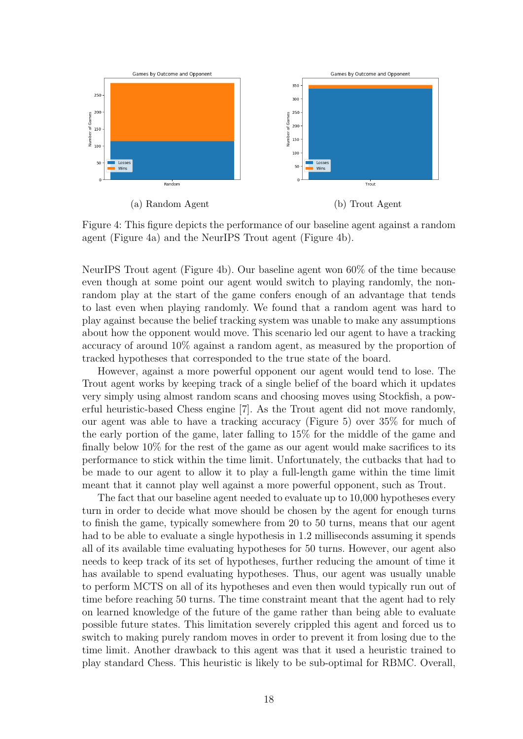

Figure 4: This figure depicts the performance of our baseline agent against a random agent (Figure 4a) and the NeurIPS Trout agent (Figure 4b).

NeurIPS Trout agent (Figure 4b). Our baseline agent won 60% of the time because even though at some point our agent would switch to playing randomly, the nonrandom play at the start of the game confers enough of an advantage that tends to last even when playing randomly. We found that a random agent was hard to play against because the belief tracking system was unable to make any assumptions about how the opponent would move. This scenario led our agent to have a tracking accuracy of around 10% against a random agent, as measured by the proportion of tracked hypotheses that corresponded to the true state of the board.

However, against a more powerful opponent our agent would tend to lose. The Trout agent works by keeping track of a single belief of the board which it updates very simply using almost random scans and choosing moves using Stockfish, a powerful heuristic-based Chess engine [7]. As the Trout agent did not move randomly, our agent was able to have a tracking accuracy (Figure 5) over 35% for much of the early portion of the game, later falling to 15% for the middle of the game and finally below  $10\%$  for the rest of the game as our agent would make sacrifices to its performance to stick within the time limit. Unfortunately, the cutbacks that had to be made to our agent to allow it to play a full-length game within the time limit meant that it cannot play well against a more powerful opponent, such as Trout.

The fact that our baseline agent needed to evaluate up to 10,000 hypotheses every turn in order to decide what move should be chosen by the agent for enough turns to finish the game, typically somewhere from 20 to 50 turns, means that our agent had to be able to evaluate a single hypothesis in 1.2 milliseconds assuming it spends all of its available time evaluating hypotheses for 50 turns. However, our agent also needs to keep track of its set of hypotheses, further reducing the amount of time it has available to spend evaluating hypotheses. Thus, our agent was usually unable to perform MCTS on all of its hypotheses and even then would typically run out of time before reaching 50 turns. The time constraint meant that the agent had to rely on learned knowledge of the future of the game rather than being able to evaluate possible future states. This limitation severely crippled this agent and forced us to switch to making purely random moves in order to prevent it from losing due to the time limit. Another drawback to this agent was that it used a heuristic trained to play standard Chess. This heuristic is likely to be sub-optimal for RBMC. Overall,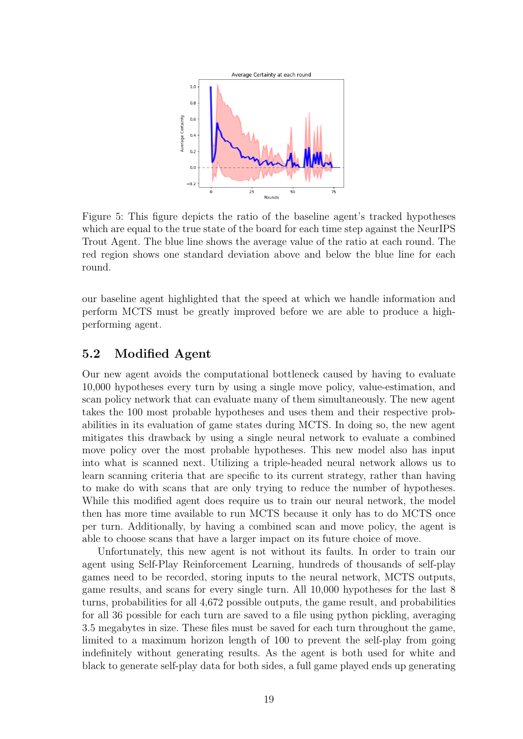

Figure 5: This figure depicts the ratio of the baseline agent's tracked hypotheses which are equal to the true state of the board for each time step against the NeurIPS Trout Agent. The blue line shows the average value of the ratio at each round. The red region shows one standard deviation above and below the blue line for each round.

our baseline agent highlighted that the speed at which we handle information and perform MCTS must be greatly improved before we are able to produce a highperforming agent.

### 5.2 Modified Agent

Our new agent avoids the computational bottleneck caused by having to evaluate 10,000 hypotheses every turn by using a single move policy, value-estimation, and scan policy network that can evaluate many of them simultaneously. The new agent takes the 100 most probable hypotheses and uses them and their respective probabilities in its evaluation of game states during MCTS. In doing so, the new agent mitigates this drawback by using a single neural network to evaluate a combined move policy over the most probable hypotheses. This new model also has input into what is scanned next. Utilizing a triple-headed neural network allows us to learn scanning criteria that are specific to its current strategy, rather than having to make do with scans that are only trying to reduce the number of hypotheses. While this modified agent does require us to train our neural network, the model then has more time available to run MCTS because it only has to do MCTS once per turn. Additionally, by having a combined scan and move policy, the agent is able to choose scans that have a larger impact on its future choice of move.

Unfortunately, this new agent is not without its faults. In order to train our agent using Self-Play Reinforcement Learning, hundreds of thousands of self-play games need to be recorded, storing inputs to the neural network, MCTS outputs, game results, and scans for every single turn. All 10,000 hypotheses for the last 8 turns, probabilities for all 4,672 possible outputs, the game result, and probabilities for all 36 possible for each turn are saved to a file using python pickling, averaging 3.5 megabytes in size. These files must be saved for each turn throughout the game, limited to a maximum horizon length of 100 to prevent the self-play from going indefinitely without generating results. As the agent is both used for white and black to generate self-play data for both sides, a full game played ends up generating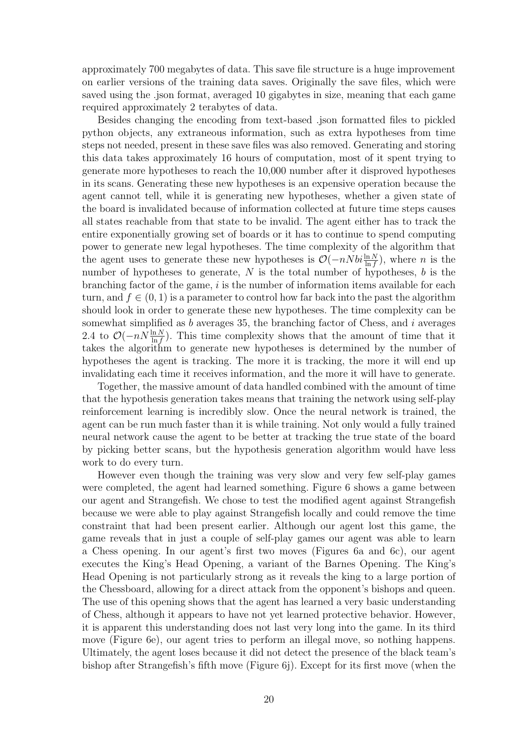approximately 700 megabytes of data. This save file structure is a huge improvement on earlier versions of the training data saves. Originally the save files, which were saved using the .json format, averaged 10 gigabytes in size, meaning that each game required approximately 2 terabytes of data.

Besides changing the encoding from text-based .json formatted files to pickled python objects, any extraneous information, such as extra hypotheses from time steps not needed, present in these save files was also removed. Generating and storing this data takes approximately 16 hours of computation, most of it spent trying to generate more hypotheses to reach the 10,000 number after it disproved hypotheses in its scans. Generating these new hypotheses is an expensive operation because the agent cannot tell, while it is generating new hypotheses, whether a given state of the board is invalidated because of information collected at future time steps causes all states reachable from that state to be invalid. The agent either has to track the entire exponentially growing set of boards or it has to continue to spend computing power to generate new legal hypotheses. The time complexity of the algorithm that the agent uses to generate these new hypotheses is  $\mathcal{O}(-nNbi \frac{\ln N}{\ln f})$ , where n is the number of hypotheses to generate,  $N$  is the total number of hypotheses,  $b$  is the branching factor of the game, i is the number of information items available for each turn, and  $f \in (0, 1)$  is a parameter to control how far back into the past the algorithm should look in order to generate these new hypotheses. The time complexity can be somewhat simplified as  $b$  averages 35, the branching factor of Chess, and  $i$  averages 2.4 to  $\mathcal{O}(-nN\frac{\ln N}{\ln f})$ . This time complexity shows that the amount of time that it takes the algorithm to generate new hypotheses is determined by the number of hypotheses the agent is tracking. The more it is tracking, the more it will end up invalidating each time it receives information, and the more it will have to generate.

Together, the massive amount of data handled combined with the amount of time that the hypothesis generation takes means that training the network using self-play reinforcement learning is incredibly slow. Once the neural network is trained, the agent can be run much faster than it is while training. Not only would a fully trained neural network cause the agent to be better at tracking the true state of the board by picking better scans, but the hypothesis generation algorithm would have less work to do every turn.

However even though the training was very slow and very few self-play games were completed, the agent had learned something. Figure 6 shows a game between our agent and Strangefish. We chose to test the modified agent against Strangefish because we were able to play against Strangefish locally and could remove the time constraint that had been present earlier. Although our agent lost this game, the game reveals that in just a couple of self-play games our agent was able to learn a Chess opening. In our agent's first two moves (Figures 6a and 6c), our agent executes the King's Head Opening, a variant of the Barnes Opening. The King's Head Opening is not particularly strong as it reveals the king to a large portion of the Chessboard, allowing for a direct attack from the opponent's bishops and queen. The use of this opening shows that the agent has learned a very basic understanding of Chess, although it appears to have not yet learned protective behavior. However, it is apparent this understanding does not last very long into the game. In its third move (Figure 6e), our agent tries to perform an illegal move, so nothing happens. Ultimately, the agent loses because it did not detect the presence of the black team's bishop after Strangefish's fifth move (Figure 6j). Except for its first move (when the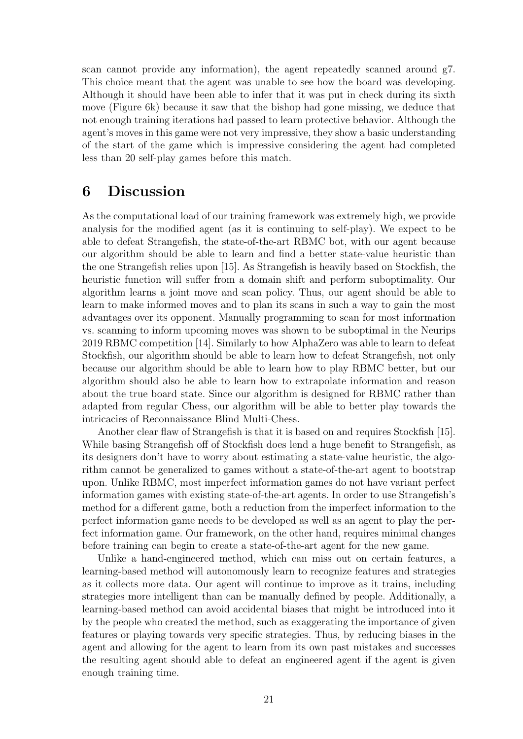scan cannot provide any information), the agent repeatedly scanned around g7. This choice meant that the agent was unable to see how the board was developing. Although it should have been able to infer that it was put in check during its sixth move (Figure 6k) because it saw that the bishop had gone missing, we deduce that not enough training iterations had passed to learn protective behavior. Although the agent's moves in this game were not very impressive, they show a basic understanding of the start of the game which is impressive considering the agent had completed less than 20 self-play games before this match.

## 6 Discussion

As the computational load of our training framework was extremely high, we provide analysis for the modified agent (as it is continuing to self-play). We expect to be able to defeat Strangefish, the state-of-the-art RBMC bot, with our agent because our algorithm should be able to learn and find a better state-value heuristic than the one Strangefish relies upon [15]. As Strangefish is heavily based on Stockfish, the heuristic function will suffer from a domain shift and perform suboptimality. Our algorithm learns a joint move and scan policy. Thus, our agent should be able to learn to make informed moves and to plan its scans in such a way to gain the most advantages over its opponent. Manually programming to scan for most information vs. scanning to inform upcoming moves was shown to be suboptimal in the Neurips 2019 RBMC competition [14]. Similarly to how AlphaZero was able to learn to defeat Stockfish, our algorithm should be able to learn how to defeat Strangefish, not only because our algorithm should be able to learn how to play RBMC better, but our algorithm should also be able to learn how to extrapolate information and reason about the true board state. Since our algorithm is designed for RBMC rather than adapted from regular Chess, our algorithm will be able to better play towards the intricacies of Reconnaissance Blind Multi-Chess.

Another clear flaw of Strangefish is that it is based on and requires Stockfish [15]. While basing Strangefish off of Stockfish does lend a huge benefit to Strangefish, as its designers don't have to worry about estimating a state-value heuristic, the algorithm cannot be generalized to games without a state-of-the-art agent to bootstrap upon. Unlike RBMC, most imperfect information games do not have variant perfect information games with existing state-of-the-art agents. In order to use Strangefish's method for a different game, both a reduction from the imperfect information to the perfect information game needs to be developed as well as an agent to play the perfect information game. Our framework, on the other hand, requires minimal changes before training can begin to create a state-of-the-art agent for the new game.

Unlike a hand-engineered method, which can miss out on certain features, a learning-based method will autonomously learn to recognize features and strategies as it collects more data. Our agent will continue to improve as it trains, including strategies more intelligent than can be manually defined by people. Additionally, a learning-based method can avoid accidental biases that might be introduced into it by the people who created the method, such as exaggerating the importance of given features or playing towards very specific strategies. Thus, by reducing biases in the agent and allowing for the agent to learn from its own past mistakes and successes the resulting agent should able to defeat an engineered agent if the agent is given enough training time.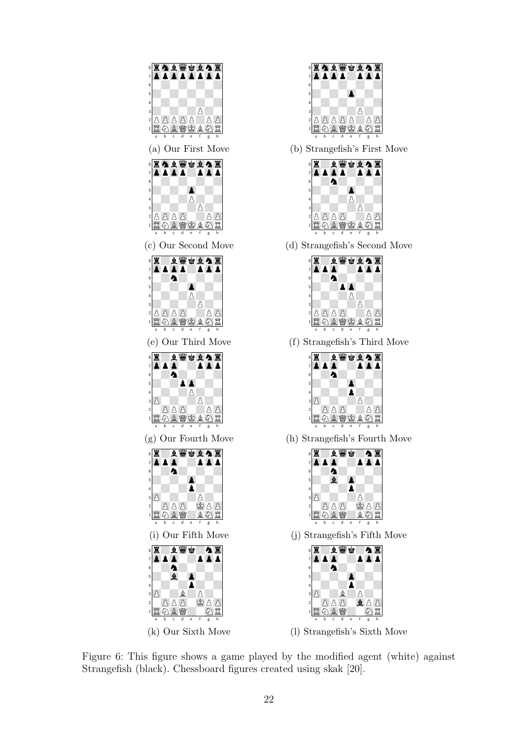

Figure 6: This figure shows a game played by the modified agent (white) against Strangefish (black). Chessboard figures created using skak [20].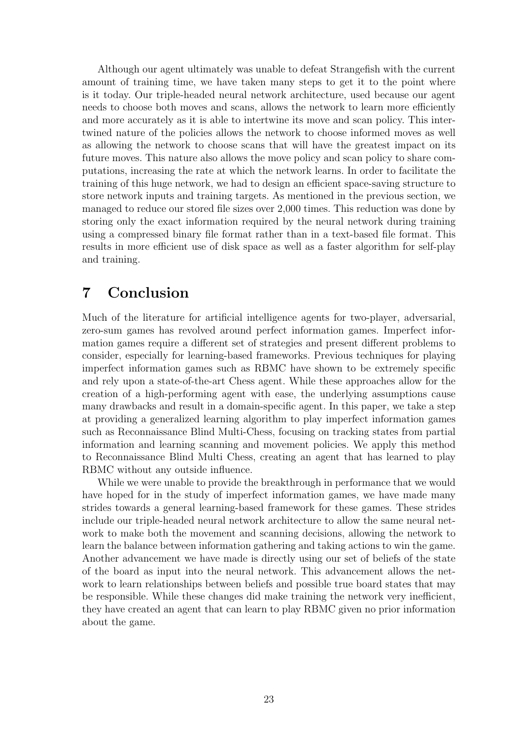Although our agent ultimately was unable to defeat Strangefish with the current amount of training time, we have taken many steps to get it to the point where is it today. Our triple-headed neural network architecture, used because our agent needs to choose both moves and scans, allows the network to learn more efficiently and more accurately as it is able to intertwine its move and scan policy. This intertwined nature of the policies allows the network to choose informed moves as well as allowing the network to choose scans that will have the greatest impact on its future moves. This nature also allows the move policy and scan policy to share computations, increasing the rate at which the network learns. In order to facilitate the training of this huge network, we had to design an efficient space-saving structure to store network inputs and training targets. As mentioned in the previous section, we managed to reduce our stored file sizes over 2,000 times. This reduction was done by storing only the exact information required by the neural network during training using a compressed binary file format rather than in a text-based file format. This results in more efficient use of disk space as well as a faster algorithm for self-play and training.

# 7 Conclusion

Much of the literature for artificial intelligence agents for two-player, adversarial, zero-sum games has revolved around perfect information games. Imperfect information games require a different set of strategies and present different problems to consider, especially for learning-based frameworks. Previous techniques for playing imperfect information games such as RBMC have shown to be extremely specific and rely upon a state-of-the-art Chess agent. While these approaches allow for the creation of a high-performing agent with ease, the underlying assumptions cause many drawbacks and result in a domain-specific agent. In this paper, we take a step at providing a generalized learning algorithm to play imperfect information games such as Reconnaissance Blind Multi-Chess, focusing on tracking states from partial information and learning scanning and movement policies. We apply this method to Reconnaissance Blind Multi Chess, creating an agent that has learned to play RBMC without any outside influence.

While we were unable to provide the breakthrough in performance that we would have hoped for in the study of imperfect information games, we have made many strides towards a general learning-based framework for these games. These strides include our triple-headed neural network architecture to allow the same neural network to make both the movement and scanning decisions, allowing the network to learn the balance between information gathering and taking actions to win the game. Another advancement we have made is directly using our set of beliefs of the state of the board as input into the neural network. This advancement allows the network to learn relationships between beliefs and possible true board states that may be responsible. While these changes did make training the network very inefficient, they have created an agent that can learn to play RBMC given no prior information about the game.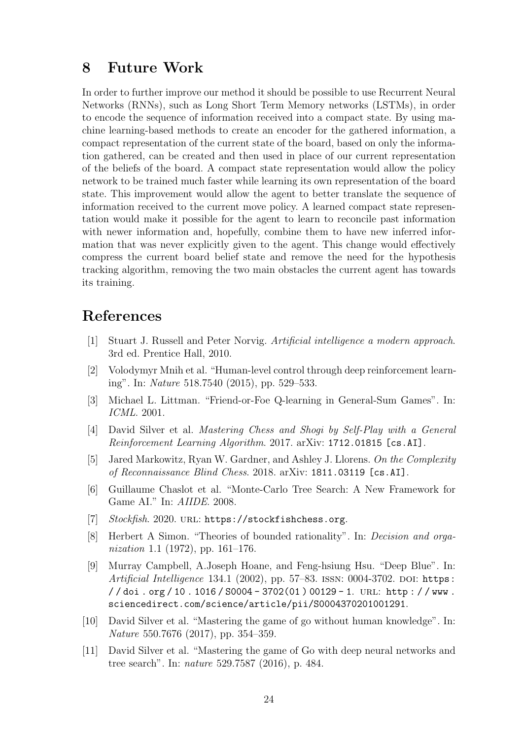# 8 Future Work

In order to further improve our method it should be possible to use Recurrent Neural Networks (RNNs), such as Long Short Term Memory networks (LSTMs), in order to encode the sequence of information received into a compact state. By using machine learning-based methods to create an encoder for the gathered information, a compact representation of the current state of the board, based on only the information gathered, can be created and then used in place of our current representation of the beliefs of the board. A compact state representation would allow the policy network to be trained much faster while learning its own representation of the board state. This improvement would allow the agent to better translate the sequence of information received to the current move policy. A learned compact state representation would make it possible for the agent to learn to reconcile past information with newer information and, hopefully, combine them to have new inferred information that was never explicitly given to the agent. This change would effectively compress the current board belief state and remove the need for the hypothesis tracking algorithm, removing the two main obstacles the current agent has towards its training.

### References

- [1] Stuart J. Russell and Peter Norvig. Artificial intelligence a modern approach. 3rd ed. Prentice Hall, 2010.
- [2] Volodymyr Mnih et al. "Human-level control through deep reinforcement learning". In: Nature 518.7540 (2015), pp. 529–533.
- [3] Michael L. Littman. "Friend-or-Foe Q-learning in General-Sum Games". In: ICML. 2001.
- [4] David Silver et al. Mastering Chess and Shogi by Self-Play with a General Reinforcement Learning Algorithm. 2017. arXiv: 1712.01815 [cs.AI].
- [5] Jared Markowitz, Ryan W. Gardner, and Ashley J. Llorens. On the Complexity of Reconnaissance Blind Chess. 2018. arXiv: 1811.03119 [cs.AI].
- [6] Guillaume Chaslot et al. "Monte-Carlo Tree Search: A New Framework for Game AI." In: AIIDE. 2008.
- [7] Stockfish. 2020. URL: https://stockfishchess.org.
- [8] Herbert A Simon. "Theories of bounded rationality". In: Decision and organization 1.1 (1972), pp. 161–176.
- [9] Murray Campbell, A.Joseph Hoane, and Feng-hsiung Hsu. "Deep Blue". In: Artificial Intelligence 134.1 (2002), pp. 57–83. ISSN: 0004-3702. DOI: https: / / doi . org / 10 . 1016 / S0004 - 3702(01 ) 00129 - 1. url: http : / / www . sciencedirect.com/science/article/pii/S0004370201001291.
- [10] David Silver et al. "Mastering the game of go without human knowledge". In: Nature 550.7676 (2017), pp. 354–359.
- [11] David Silver et al. "Mastering the game of Go with deep neural networks and tree search". In: nature 529.7587 (2016), p. 484.